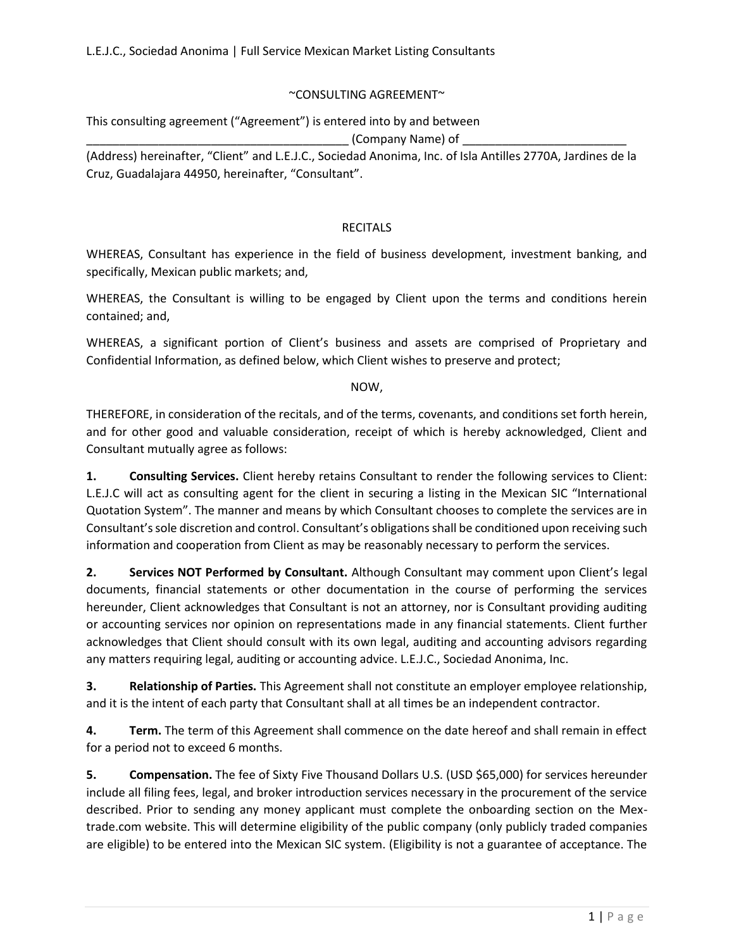## ~CONSULTING AGREEMENT~

This consulting agreement ("Agreement") is entered into by and between

 $_{\_}$  (Company Name) of  $_{\_}$ 

(Address) hereinafter, "Client" and L.E.J.C., Sociedad Anonima, Inc. of Isla Antilles 2770A, Jardines de la Cruz, Guadalajara 44950, hereinafter, "Consultant".

## RECITALS

WHEREAS, Consultant has experience in the field of business development, investment banking, and specifically, Mexican public markets; and,

WHEREAS, the Consultant is willing to be engaged by Client upon the terms and conditions herein contained; and,

WHEREAS, a significant portion of Client's business and assets are comprised of Proprietary and Confidential Information, as defined below, which Client wishes to preserve and protect;

NOW,

THEREFORE, in consideration of the recitals, and of the terms, covenants, and conditions set forth herein, and for other good and valuable consideration, receipt of which is hereby acknowledged, Client and Consultant mutually agree as follows:

**1. Consulting Services.** Client hereby retains Consultant to render the following services to Client: L.E.J.C will act as consulting agent for the client in securing a listing in the Mexican SIC "International Quotation System". The manner and means by which Consultant chooses to complete the services are in Consultant's sole discretion and control. Consultant's obligations shall be conditioned upon receiving such information and cooperation from Client as may be reasonably necessary to perform the services.

**2. Services NOT Performed by Consultant.** Although Consultant may comment upon Client's legal documents, financial statements or other documentation in the course of performing the services hereunder, Client acknowledges that Consultant is not an attorney, nor is Consultant providing auditing or accounting services nor opinion on representations made in any financial statements. Client further acknowledges that Client should consult with its own legal, auditing and accounting advisors regarding any matters requiring legal, auditing or accounting advice. L.E.J.C., Sociedad Anonima, Inc.

**3. Relationship of Parties.** This Agreement shall not constitute an employer employee relationship, and it is the intent of each party that Consultant shall at all times be an independent contractor.

**4. Term.** The term of this Agreement shall commence on the date hereof and shall remain in effect for a period not to exceed 6 months.

**5. Compensation.** The fee of Sixty Five Thousand Dollars U.S. (USD \$65,000) for services hereunder include all filing fees, legal, and broker introduction services necessary in the procurement of the service described. Prior to sending any money applicant must complete the onboarding section on the Mextrade.com website. This will determine eligibility of the public company (only publicly traded companies are eligible) to be entered into the Mexican SIC system. (Eligibility is not a guarantee of acceptance. The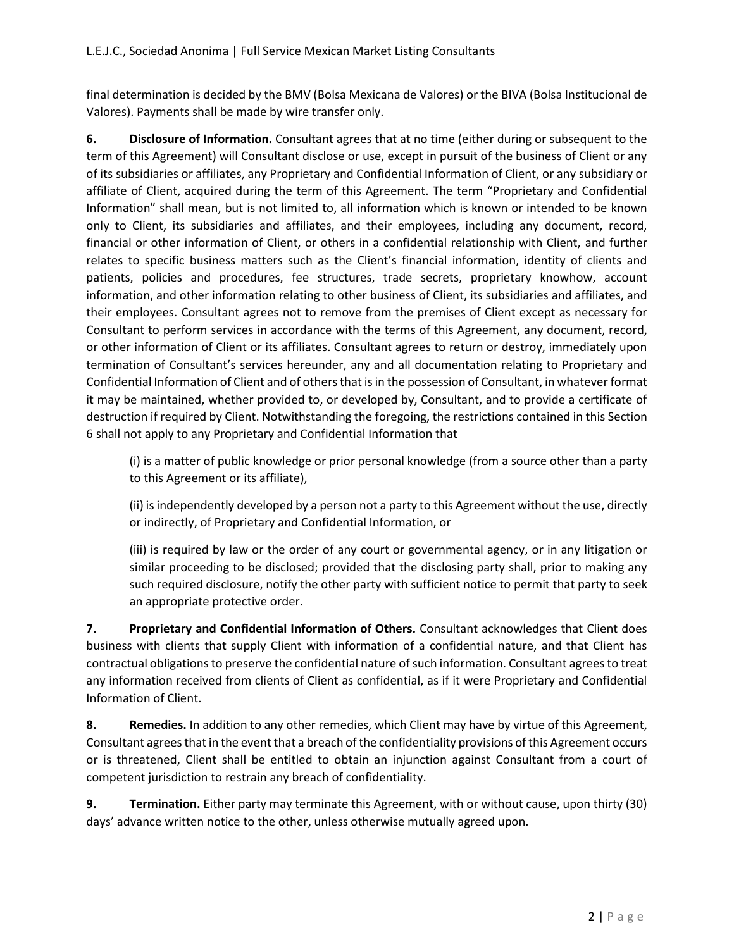final determination is decided by the BMV (Bolsa Mexicana de Valores) or the BIVA (Bolsa Institucional de Valores). Payments shall be made by wire transfer only.

**6. Disclosure of Information.** Consultant agrees that at no time (either during or subsequent to the term of this Agreement) will Consultant disclose or use, except in pursuit of the business of Client or any of its subsidiaries or affiliates, any Proprietary and Confidential Information of Client, or any subsidiary or affiliate of Client, acquired during the term of this Agreement. The term "Proprietary and Confidential Information" shall mean, but is not limited to, all information which is known or intended to be known only to Client, its subsidiaries and affiliates, and their employees, including any document, record, financial or other information of Client, or others in a confidential relationship with Client, and further relates to specific business matters such as the Client's financial information, identity of clients and patients, policies and procedures, fee structures, trade secrets, proprietary knowhow, account information, and other information relating to other business of Client, its subsidiaries and affiliates, and their employees. Consultant agrees not to remove from the premises of Client except as necessary for Consultant to perform services in accordance with the terms of this Agreement, any document, record, or other information of Client or its affiliates. Consultant agrees to return or destroy, immediately upon termination of Consultant's services hereunder, any and all documentation relating to Proprietary and Confidential Information of Client and of others that is in the possession of Consultant, in whatever format it may be maintained, whether provided to, or developed by, Consultant, and to provide a certificate of destruction if required by Client. Notwithstanding the foregoing, the restrictions contained in this Section 6 shall not apply to any Proprietary and Confidential Information that

(i) is a matter of public knowledge or prior personal knowledge (from a source other than a party to this Agreement or its affiliate),

(ii) is independently developed by a person not a party to this Agreement without the use, directly or indirectly, of Proprietary and Confidential Information, or

(iii) is required by law or the order of any court or governmental agency, or in any litigation or similar proceeding to be disclosed; provided that the disclosing party shall, prior to making any such required disclosure, notify the other party with sufficient notice to permit that party to seek an appropriate protective order.

**7. Proprietary and Confidential Information of Others.** Consultant acknowledges that Client does business with clients that supply Client with information of a confidential nature, and that Client has contractual obligations to preserve the confidential nature of such information. Consultant agrees to treat any information received from clients of Client as confidential, as if it were Proprietary and Confidential Information of Client.

**8. Remedies.** In addition to any other remedies, which Client may have by virtue of this Agreement, Consultant agrees that in the event that a breach of the confidentiality provisions of this Agreement occurs or is threatened, Client shall be entitled to obtain an injunction against Consultant from a court of competent jurisdiction to restrain any breach of confidentiality.

**9. Termination.** Either party may terminate this Agreement, with or without cause, upon thirty (30) days' advance written notice to the other, unless otherwise mutually agreed upon.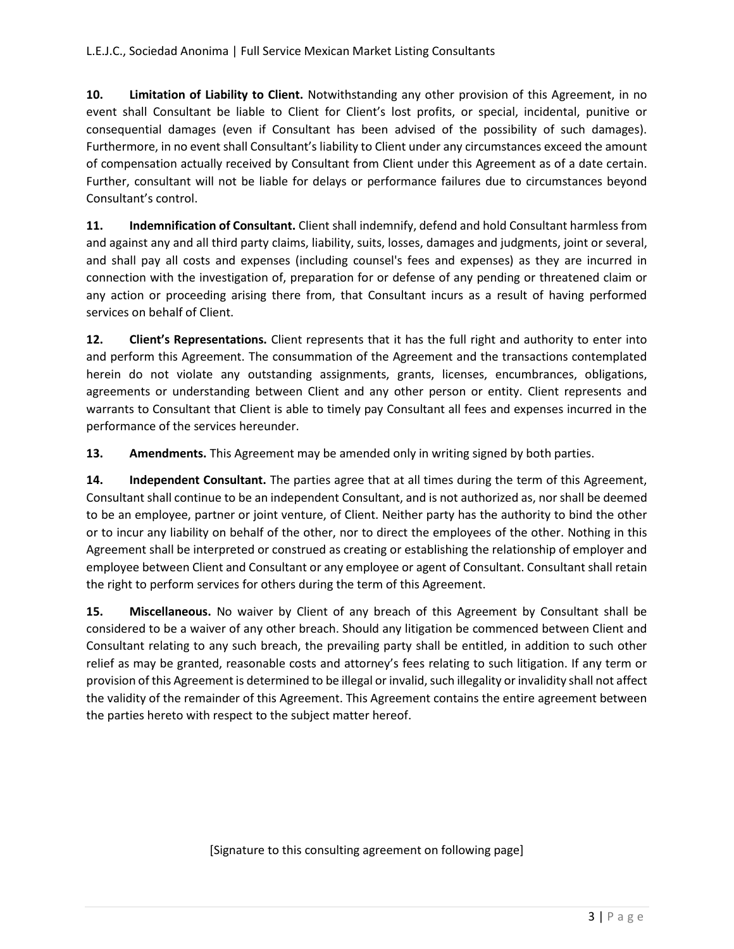**10. Limitation of Liability to Client.** Notwithstanding any other provision of this Agreement, in no event shall Consultant be liable to Client for Client's lost profits, or special, incidental, punitive or consequential damages (even if Consultant has been advised of the possibility of such damages). Furthermore, in no event shall Consultant's liability to Client under any circumstances exceed the amount of compensation actually received by Consultant from Client under this Agreement as of a date certain. Further, consultant will not be liable for delays or performance failures due to circumstances beyond Consultant's control.

**11. Indemnification of Consultant.** Client shall indemnify, defend and hold Consultant harmless from and against any and all third party claims, liability, suits, losses, damages and judgments, joint or several, and shall pay all costs and expenses (including counsel's fees and expenses) as they are incurred in connection with the investigation of, preparation for or defense of any pending or threatened claim or any action or proceeding arising there from, that Consultant incurs as a result of having performed services on behalf of Client.

**12. Client's Representations.** Client represents that it has the full right and authority to enter into and perform this Agreement. The consummation of the Agreement and the transactions contemplated herein do not violate any outstanding assignments, grants, licenses, encumbrances, obligations, agreements or understanding between Client and any other person or entity. Client represents and warrants to Consultant that Client is able to timely pay Consultant all fees and expenses incurred in the performance of the services hereunder.

**13.** Amendments. This Agreement may be amended only in writing signed by both parties.

**14.** Independent Consultant. The parties agree that at all times during the term of this Agreement, Consultant shall continue to be an independent Consultant, and is not authorized as, nor shall be deemed to be an employee, partner or joint venture, of Client. Neither party has the authority to bind the other or to incur any liability on behalf of the other, nor to direct the employees of the other. Nothing in this Agreement shall be interpreted or construed as creating or establishing the relationship of employer and employee between Client and Consultant or any employee or agent of Consultant. Consultant shall retain the right to perform services for others during the term of this Agreement.

**15. Miscellaneous.** No waiver by Client of any breach of this Agreement by Consultant shall be considered to be a waiver of any other breach. Should any litigation be commenced between Client and Consultant relating to any such breach, the prevailing party shall be entitled, in addition to such other relief as may be granted, reasonable costs and attorney's fees relating to such litigation. If any term or provision of this Agreement is determined to be illegal or invalid, such illegality or invalidity shall not affect the validity of the remainder of this Agreement. This Agreement contains the entire agreement between the parties hereto with respect to the subject matter hereof.

[Signature to this consulting agreement on following page]